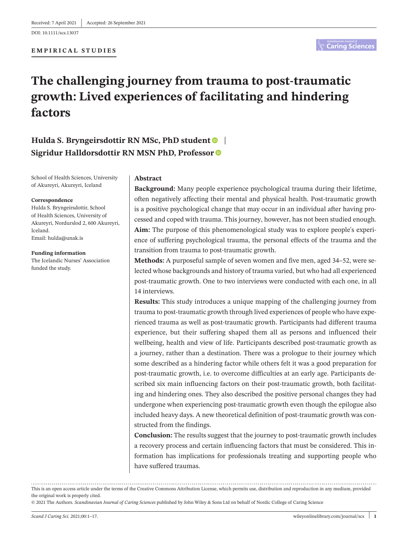DOI: 10.1111/scs.13037

#### **EMPIRICAL STUDIES**

# **The challenging journey from trauma to post-traumatic growth: Lived experiences of facilitating and hindering factors**

## **Hulda S. Bryngeirsdottir RN MSc, PhD studen[t](https://orcid.org/0000-0002-1925-9587)** | **Sigridur Halldorsdottir RN MSN PhD, Professor**

School of Health Sciences, University of Akureyri, Akureyri, Iceland

#### **Correspondence**

Hulda S. Bryngeirsdottir, School of Health Sciences, University of Akureyri, Nordurslod 2, 600 Akureyri, Iceland. Email: [hulda@unak.is](mailto:hulda@unak.is)

**Funding information** The Icelandic Nurses' Association funded the study.

#### **Abstract**

**Background:** Many people experience psychological trauma during their lifetime, often negatively affecting their mental and physical health. Post-traumatic growth is a positive psychological change that may occur in an individual after having processed and coped with trauma. This journey, however, has not been studied enough. **Aim:** The purpose of this phenomenological study was to explore people's experience of suffering psychological trauma, the personal effects of the trauma and the transition from trauma to post-traumatic growth.

**Methods:** A purposeful sample of seven women and five men, aged 34–52, were selected whose backgrounds and history of trauma varied, but who had all experienced post-traumatic growth. One to two interviews were conducted with each one, in all 14 interviews.

**Results:** This study introduces a unique mapping of the challenging journey from trauma to post-traumatic growth through lived experiences of people who have experienced trauma as well as post-traumatic growth. Participants had different trauma experience, but their suffering shaped them all as persons and influenced their wellbeing, health and view of life. Participants described post-traumatic growth as a journey, rather than a destination. There was a prologue to their journey which some described as a hindering factor while others felt it was a good preparation for post-traumatic growth, i.e. to overcome difficulties at an early age. Participants described six main influencing factors on their post-traumatic growth, both facilitating and hindering ones. They also described the positive personal changes they had undergone when experiencing post-traumatic growth even though the epilogue also included heavy days. A new theoretical definition of post-traumatic growth was constructed from the findings.

**Conclusion:** The results suggest that the journey to post-traumatic growth includes a recovery process and certain influencing factors that must be considered. This information has implications for professionals treating and supporting people who have suffered traumas.

This is an open access article under the terms of the Creative Commons [Attribution](http://creativecommons.org/licenses/by/4.0/) License, which permits use, distribution and reproduction in any medium, provided the original work is properly cited.

© 2021 The Authors. *Scandinavian Journal of Caring Sciences* published by John Wiley & Sons Ltd on behalf of Nordic College of Caring Science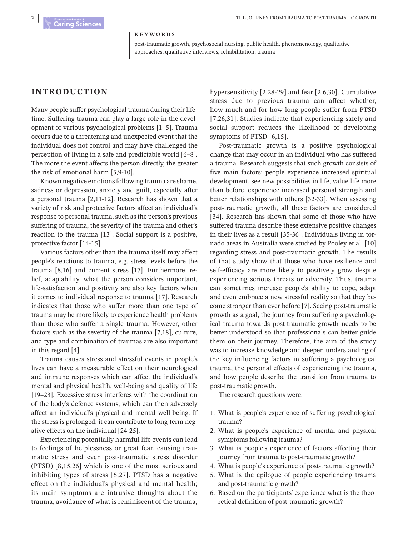#### **KEYWORDS**

post-traumatic growth, psychosocial nursing, public health, phenomenology, qualitative approaches, qualitative interviews, rehabilitation, trauma

#### **INTRODUCTION**

Many people suffer psychological trauma during their lifetime. Suffering trauma can play a large role in the development of various psychological problems [1–5]. Trauma occurs due to a threatening and unexpected event that the individual does not control and may have challenged the perception of living in a safe and predictable world [6–8]. The more the event affects the person directly, the greater the risk of emotional harm [5,9-10].

Known negative emotions following trauma are shame, sadness or depression, anxiety and guilt, especially after a personal trauma [2,11-12]. Research has shown that a variety of risk and protective factors affect an individual's response to personal trauma, such as the person's previous suffering of trauma, the severity of the trauma and other's reaction to the trauma [13]. Social support is a positive, protective factor [14-15].

Various factors other than the trauma itself may affect people's reactions to trauma, e.g. stress levels before the trauma [8,16] and current stress [17]. Furthermore, relief, adaptability, what the person considers important, life-satisfaction and positivity are also key factors when it comes to individual response to trauma [17]. Research indicates that those who suffer more than one type of trauma may be more likely to experience health problems than those who suffer a single trauma. However, other factors such as the severity of the trauma [7,18], culture, and type and combination of traumas are also important in this regard [4].

Trauma causes stress and stressful events in people's lives can have a measurable effect on their neurological and immune responses which can affect the individual's mental and physical health, well-being and quality of life [19–23]. Excessive stress interferes with the coordination of the body's defence systems, which can then adversely affect an individual's physical and mental well-being. If the stress is prolonged, it can contribute to long-term negative effects on the individual [24-25].

Experiencing potentially harmful life events can lead to feelings of helplessness or great fear, causing traumatic stress and even post-traumatic stress disorder (PTSD) [8,15,26] which is one of the most serious and inhibiting types of stress [5,27]. PTSD has a negative effect on the individual's physical and mental health; its main symptoms are intrusive thoughts about the trauma, avoidance of what is reminiscent of the trauma,

hypersensitivity [2,28-29] and fear [2,6,30]. Cumulative stress due to previous trauma can affect whether, how much and for how long people suffer from PTSD [7,26,31]. Studies indicate that experiencing safety and social support reduces the likelihood of developing symptoms of PTSD [6,15].

Post-traumatic growth is a positive psychological change that may occur in an individual who has suffered a trauma. Research suggests that such growth consists of five main factors: people experience increased spiritual development, see new possibilities in life, value life more than before, experience increased personal strength and better relationships with others [32-33]. When assessing post-traumatic growth, all these factors are considered [34]. Research has shown that some of those who have suffered trauma describe these extensive positive changes in their lives as a result [35-36]. Individuals living in tornado areas in Australia were studied by Pooley et al. [10] regarding stress and post-traumatic growth. The results of that study show that those who have resilience and self-efficacy are more likely to positively grow despite experiencing serious threats or adversity. Thus, trauma can sometimes increase people's ability to cope, adapt and even embrace a new stressful reality so that they become stronger than ever before [7]. Seeing post-traumatic growth as a goal, the journey from suffering a psychological trauma towards post-traumatic growth needs to be better understood so that professionals can better guide them on their journey. Therefore, the aim of the study was to increase knowledge and deepen understanding of the key influencing factors in suffering a psychological trauma, the personal effects of experiencing the trauma, and how people describe the transition from trauma to post-traumatic growth.

The research questions were:

- 1. What is people's experience of suffering psychological trauma?
- 2. What is people's experience of mental and physical symptoms following trauma?
- 3. What is people's experience of factors affecting their journey from trauma to post-traumatic growth?
- 4. What is people's experience of post-traumatic growth?
- 5. What is the epilogue of people experiencing trauma and post-traumatic growth?
- 6. Based on the participants' experience what is the theoretical definition of post-traumatic growth?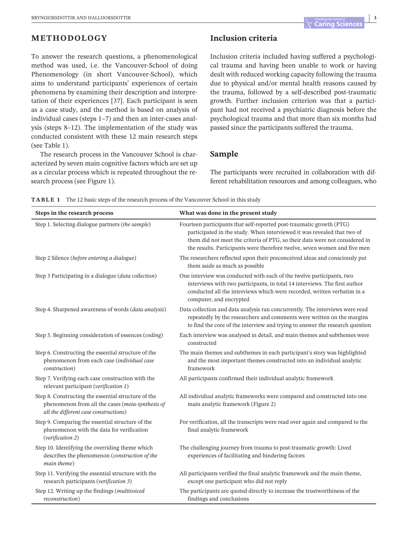## **METHODOLOGY**

To answer the research questions, a phenomenological method was used, i.e. the Vancouver-School of doing Phenomenology (in short Vancouver-School), which aims to understand participants' experiences of certain phenomena by examining their description and interpretation of their experiences [37]. Each participant is seen as a case study, and the method is based on analysis of individual cases (steps 1–7) and then an inter-cases analysis (steps 8–12). The implementation of the study was conducted consistent with these 12 main research steps (see Table 1).

The research process in the Vancouver School is characterized by seven main cognitive factors which are set up as a circular process which is repeated throughout the research process (see Figure 1).

## **Inclusion criteria**

Inclusion criteria included having suffered a psychological trauma and having been unable to work or having dealt with reduced working capacity following the trauma due to physical and/or mental health reasons caused by the trauma, followed by a self-described post-traumatic growth. Further inclusion criterion was that a participant had not received a psychiatric diagnosis before the psychological trauma and that more than six months had passed since the participants suffered the trauma.

#### **Sample**

The participants were recruited in collaboration with different rehabilitation resources and among colleagues, who

| <b>TABLE 1</b> The 12 basic steps of the research process of the Vancouver School in this study |  |
|-------------------------------------------------------------------------------------------------|--|
|-------------------------------------------------------------------------------------------------|--|

| Steps in the research process                                                                                                                    | What was done in the present study                                                                                                                                                                                                                                                                          |
|--------------------------------------------------------------------------------------------------------------------------------------------------|-------------------------------------------------------------------------------------------------------------------------------------------------------------------------------------------------------------------------------------------------------------------------------------------------------------|
| Step 1. Selecting dialogue partners (the sample)                                                                                                 | Fourteen participants that self-reported post-traumatic growth (PTG)<br>participated in the study. When interviewed it was revealed that two of<br>them did not meet the criteria of PTG, so their data were not considered in<br>the results. Participants were therefore twelve, seven women and five men |
| Step 2 Silence (before entering a dialogue)                                                                                                      | The researchers reflected upon their preconceived ideas and consciously put<br>them aside as much as possible                                                                                                                                                                                               |
| Step 3 Participating in a dialogue (data collection)                                                                                             | One interview was conducted with each of the twelve participants, two<br>interviews with two participants, in total 14 interviews. The first author<br>conducted all the interviews which were recorded, written verbatim in a<br>computer, and encrypted                                                   |
| Step 4. Sharpened awareness of words (data analysis)                                                                                             | Data collection and data analysis ran concurrently. The interviews were read<br>repeatedly by the researchers and comments were written on the margins<br>to find the core of the interview and trying to answer the research question                                                                      |
| Step 5. Beginning consideration of essences (coding)                                                                                             | Each interview was analysed in detail, and main themes and subthemes were<br>constructed                                                                                                                                                                                                                    |
| Step 6. Constructing the essential structure of the<br>phenomenon from each case (individual case<br>construction)                               | The main themes and subthemes in each participant's story was highlighted<br>and the most important themes constructed into an individual analytic<br>framework                                                                                                                                             |
| Step 7. Verifying each case construction with the<br>relevant participant (verification 1)                                                       | All participants confirmed their individual analytic framework                                                                                                                                                                                                                                              |
| Step 8. Constructing the essential structure of the<br>phenomenon from all the cases (meta-synthesis of<br>all the different case constructions) | All individual analytic frameworks were compared and constructed into one<br>main analytic framework (Figure 2)                                                                                                                                                                                             |
| Step 9. Comparing the essential structure of the<br>phenomenon with the data for verification<br>(verification 2)                                | For verification, all the transcripts were read over again and compared to the<br>final analytic framework                                                                                                                                                                                                  |
| Step 10. Identifying the overriding theme which<br>describes the phenomenon (construction of the<br>main theme)                                  | The challenging journey from trauma to post-traumatic growth: Lived<br>experiences of facilitating and hindering factors                                                                                                                                                                                    |
| Step 11. Verifying the essential structure with the<br>research participants (verification 3)                                                    | All participants verified the final analytic framework and the main theme,<br>except one participant who did not reply                                                                                                                                                                                      |
| Step 12. Writing up the findings (multivoiced<br>reconstruction)                                                                                 | The participants are quoted directly to increase the trustworthiness of the<br>findings and conclusions                                                                                                                                                                                                     |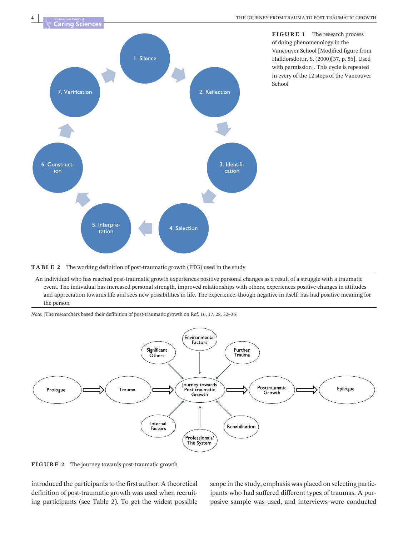

**FIGURE 1** The research process of doing phenomenology in the Vancouver School [Modified figure from Halldorsdottir, S. (2000)[37, p. 56]. Used with permission]. This cycle is repeated in every of the 12 steps of the Vancouver School

**TABLE 2** The working definition of post-traumatic growth (PTG) used in the study

An individual who has reached post-traumatic growth experiences positive personal changes as a result of a struggle with a traumatic event. The individual has increased personal strength, improved relationships with others, experiences positive changes in attitudes and appreciation towards life and sees new possibilities in life. The experience, though negative in itself, has had positive meaning for the person

*Note:* [The researchers based their definition of post-traumatic growth on Ref. 16, 17, 28, 32–36]



**FIGURE 2** The journey towards post-traumatic growth

introduced the participants to the first author. A theoretical definition of post-traumatic growth was used when recruiting participants (see Table 2). To get the widest possible scope in the study, emphasis was placed on selecting participants who had suffered different types of traumas. A purposive sample was used, and interviews were conducted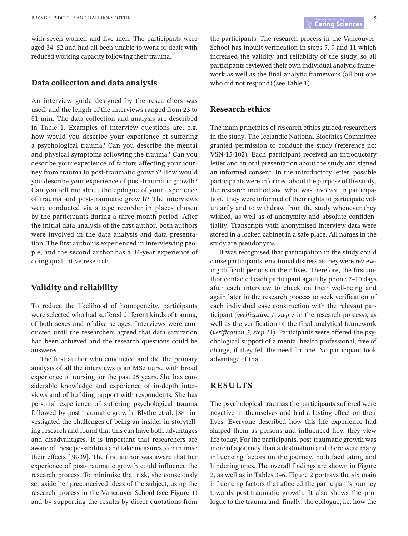with seven women and five men. The participants were aged 34–52 and had all been unable to work or dealt with reduced working capacity following their trauma.

#### **Data collection and data analysis**

An interview guide designed by the researchers was used, and the length of the interviews ranged from 23 to 81 min. The data collection and analysis are described in Table 1. Examples of interview questions are, e.g. how would you describe your experience of suffering a psychological trauma? Can you describe the mental and physical symptoms following the trauma? Can you describe your experience of factors affecting your journey from trauma to post-traumatic growth? How would you describe your experience of post-traumatic growth? Can you tell me about the epilogue of your experience of trauma and post-traumatic growth? The interviews were conducted via a tape recorder in places chosen by the participants during a three-month period. After the initial data analysis of the first author, both authors were involved in the data analysis and data presentation. The first author is experienced in interviewing people, and the second author has a 34-year experience of doing qualitative research.

#### **Validity and reliability**

To reduce the likelihood of homogeneity, participants were selected who had suffered different kinds of trauma, of both sexes and of diverse ages. Interviews were conducted until the researchers agreed that data saturation had been achieved and the research questions could be answered.

The first author who conducted and did the primary analysis of all the interviews is an MSc nurse with broad experience of nursing for the past 25 years. She has considerable knowledge and experience of in-depth interviews and of building rapport with respondents. She has personal experience of suffering psychological trauma followed by post-traumatic growth. Blythe et al. [38] investigated the challenges of being an insider in storytelling research and found that this can have both advantages and disadvantages. It is important that researchers are aware of these possibilities and take measures to minimise their effects [38-39]. The first author was aware that her experience of post-traumatic growth could influence the research process. To minimise that risk, she consciously set aside her preconceived ideas of the subject, using the research process in the Vancouver School (see Figure 1) and by supporting the results by direct quotations from

the participants. The research process in the Vancouver-School has inbuilt verification in steps 7, 9 and 11 which increased the validity and reliability of the study, so all participants reviewed their own individual analytic framework as well as the final analytic framework (all but one who did not respond) (see Table 1).

#### **Research ethics**

The main principles of research ethics guided researchers in the study. The Icelandic National Bioethics Committee granted permission to conduct the study (reference no: VSN-15-102). Each participant received an introductory letter and an oral presentation about the study and signed an informed consent. In the introductory letter, possible participants were informed about the purpose of the study, the research method and what was involved in participation. They were informed of their rights to participate voluntarily and to withdraw from the study whenever they wished, as well as of anonymity and absolute confidentiality. Transcripts with anonymised interview data were stored in a locked cabinet in a safe place. All names in the study are pseudonyms.

It was recognised that participation in the study could cause participants' emotional distress asthey were reviewing difficult periods in their lives. Therefore, the first author contacted each participant again by phone 7–10 days after each interview to check on their well-being and again later in the research process to seek verification of each individual case construction with the relevant participant (*verification 1*, *step 7* in the research process), as well as the verification of the final analytical framework (*verification 3, step 11*). Participants were offered the psychological support of a mental health professional, free of charge, if they felt the need for one. No participant took advantage of that.

## **RESULTS**

The psychological traumas the participants suffered were negative in themselves and had a lasting effect on their lives. Everyone described how this life experience had shaped them as persons and influenced how they view life today. For the participants, post-traumatic growth was more of a journey than a destination and there were many influencing factors on the journey, both facilitating and hindering ones. The overall findings are shown in Figure 2, as well as in Tables 3–6. Figure 2 portrays the six main influencing factors that affected the participant's journey towards post-traumatic growth. It also shows the prologue to the trauma and, finally, the epilogue, i.e. how the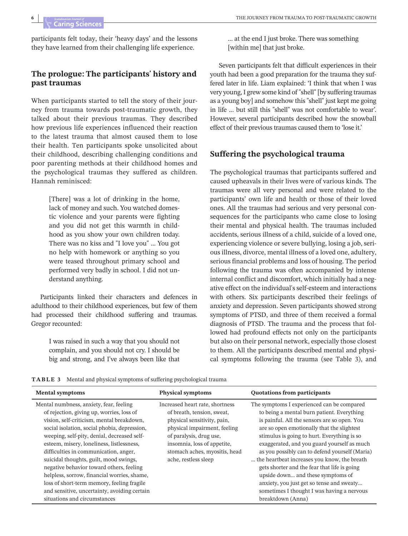participants felt today, their 'heavy days' and the lessons they have learned from their challenging life experience.

## **The prologue: The participants' history and past traumas**

When participants started to tell the story of their journey from trauma towards post-traumatic growth, they talked about their previous traumas. They described how previous life experiences influenced their reaction to the latest trauma that almost caused them to lose their health. Ten participants spoke unsolicited about their childhood, describing challenging conditions and poor parenting methods at their childhood homes and the psychological traumas they suffered as children. Hannah reminisced:

> [There] was a lot of drinking in the home, lack of money and such. You watched domestic violence and your parents were fighting and you did not get this warmth in childhood as you show your own children today. There was no kiss and "I love you" … You got no help with homework or anything so you were teased throughout primary school and performed very badly in school. I did not understand anything.

Participants linked their characters and defences in adulthood to their childhood experiences, but few of them had processed their childhood suffering and traumas. Gregor recounted:

> I was raised in such a way that you should not complain, and you should not cry. I should be big and strong, and I've always been like that

… at the end I just broke. There was something [within me] that just broke.

Seven participants felt that difficult experiences in their youth had been a good preparation for the trauma they suffered later in life. Liam explained: 'I think that when I was very young,I grew some kind of "shell"[by suffering traumas as a young boy] and somehow this"shell" just kept me going in life … but still this "shell" was not comfortable to wear'. However, several participants described how the snowball effect of their previous traumas caused them to 'lose it.'

#### **Suffering the psychological trauma**

The psychological traumas that participants suffered and caused upheavals in their lives were of various kinds. The traumas were all very personal and were related to the participants' own life and health or those of their loved ones. All the traumas had serious and very personal consequences for the participants who came close to losing their mental and physical health. The traumas included accidents, serious illness of a child, suicide of a loved one, experiencing violence or severe bullying, losing a job, serious illness, divorce, mental illness of a loved one, adultery, serious financial problems and loss of housing. The period following the trauma was often accompanied by intense internal conflict and discomfort, which initially had a negative effect on the individual's self-esteem and interactions with others. Six participants described their feelings of anxiety and depression. Seven participants showed strong symptoms of PTSD, and three of them received a formal diagnosis of PTSD. The trauma and the process that followed had profound effects not only on the participants but also on their personal network, especially those closest to them. All the participants described mental and physical symptoms following the trauma (see Table 3), and

| <b>TABLE 3</b> Mental and physical symptoms of suffering psychological trauma |  |
|-------------------------------------------------------------------------------|--|
|-------------------------------------------------------------------------------|--|

| <b>Mental symptoms</b>                                                                                                                                                                                                                                                                                                                                                                                                                                                                                                                                                                    | <b>Physical symptoms</b>                                                                                                                                                                                                                        | <b>Quotations from participants</b>                                                                                                                                                                                                                                                                                                                                                                                                                                                                                                                                                         |
|-------------------------------------------------------------------------------------------------------------------------------------------------------------------------------------------------------------------------------------------------------------------------------------------------------------------------------------------------------------------------------------------------------------------------------------------------------------------------------------------------------------------------------------------------------------------------------------------|-------------------------------------------------------------------------------------------------------------------------------------------------------------------------------------------------------------------------------------------------|---------------------------------------------------------------------------------------------------------------------------------------------------------------------------------------------------------------------------------------------------------------------------------------------------------------------------------------------------------------------------------------------------------------------------------------------------------------------------------------------------------------------------------------------------------------------------------------------|
| Mental numbness, anxiety, fear, feeling<br>of rejection, giving up, worries, loss of<br>vision, self-criticism, mental breakdown,<br>social isolation, social phobia, depression,<br>weeping, self-pity, denial, decreased self-<br>esteem, misery, loneliness, listlessness,<br>difficulties in communication, anger,<br>suicidal thoughts, guilt, mood swings,<br>negative behavior toward others, feeling<br>helpless, sorrow, financial worries, shame,<br>loss of short-term memory, feeling fragile<br>and sensitive, uncertainty, avoiding certain<br>situations and circumstances | Increased heart rate, shortness<br>of breath, tension, sweat,<br>physical sensitivity, pain,<br>physical impairment, feeling<br>of paralysis, drug use,<br>insomnia, loss of appetite,<br>stomach aches, myositis, head<br>ache, restless sleep | The symptoms I experienced can be compared<br>to being a mental burn patient. Everything<br>is painful. All the sensors are so open. You<br>are so open emotionally that the slightest<br>stimulus is going to hurt. Everything is so<br>exaggerated, and you guard yourself as much<br>as you possibly can to defend yourself (Maria)<br>the heartbeat increases you know, the breath<br>gets shorter and the fear that life is going<br>upside down and these symptoms of<br>anxiety, you just get so tense and sweaty<br>sometimes I thought I was having a nervous<br>breaktdown (Anna) |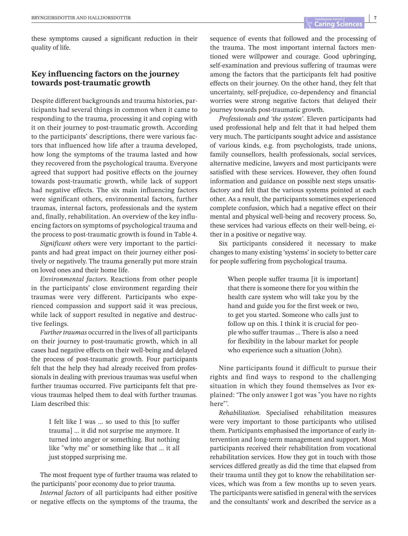these symptoms caused a significant reduction in their quality of life.

## **Key influencing factors on the journey towards post-traumatic growth**

Despite different backgrounds and trauma histories, participants had several things in common when it came to responding to the trauma, processing it and coping with it on their journey to post-traumatic growth. According to the participants' descriptions, there were various factors that influenced how life after a trauma developed, how long the symptoms of the trauma lasted and how they recovered from the psychological trauma. Everyone agreed that support had positive effects on the journey towards post-traumatic growth, while lack of support had negative effects. The six main influencing factors were significant others, environmental factors, further traumas, internal factors, professionals and the system and, finally, rehabilitation. An overview of the key influencing factors on symptoms of psychological trauma and the process to post-traumatic growth is found in Table 4.

*Significant others* were very important to the participants and had great impact on their journey either positively or negatively. The trauma generally put more strain on loved ones and their home life.

*Environmental factors*. Reactions from other people in the participants' close environment regarding their traumas were very different. Participants who experienced compassion and support said it was precious, while lack of support resulted in negative and destructive feelings.

*Further traumas* occurred in the lives of all participants on their journey to post-traumatic growth, which in all cases had negative effects on their well-being and delayed the process of post-traumatic growth. Four participants felt that the help they had already received from professionals in dealing with previous traumas was useful when further traumas occurred. Five participants felt that previous traumas helped them to deal with further traumas. Liam described this:

> I felt like I was … so used to this [to suffer trauma] … it did not surprise me anymore. It turned into anger or something. But nothing like "why me" or something like that … it all just stopped surprising me.

The most frequent type of further trauma was related to the participants' poor economy due to prior trauma.

*Internal factors* of all participants had either positive or negative effects on the symptoms of the trauma, the

sequence of events that followed and the processing of the trauma. The most important internal factors mentioned were willpower and courage. Good upbringing, self-examination and previous suffering of traumas were among the factors that the participants felt had positive effects on their journey. On the other hand, they felt that uncertainty, self-prejudice, co-dependency and financial worries were strong negative factors that delayed their journey towards post-traumatic growth.

*Professionals and 'the system'*. Eleven participants had used professional help and felt that it had helped them very much. The participants sought advice and assistance of various kinds, e.g. from psychologists, trade unions, family counsellors, health professionals, social services, alternative medicine, lawyers and most participants were satisfied with these services. However, they often found information and guidance on possible next steps unsatisfactory and felt that the various systems pointed at each other. As a result, the participants sometimes experienced complete confusion, which had a negative effect on their mental and physical well-being and recovery process. So, these services had various effects on their well-being, either in a positive or negative way.

Six participants considered it necessary to make changes to many existing 'systems' in society to better care for people suffering from psychological trauma.

> When people suffer trauma [it is important] that there is someone there for you within the health care system who will take you by the hand and guide you for the first week or two, to get you started. Someone who calls just to follow up on this. I think it is crucial for people who suffer traumas … There is also a need for flexibility in the labour market for people who experience such a situation (John).

Nine participants found it difficult to pursue their rights and find ways to respond to the challenging situation in which they found themselves as Ivor explained: 'The only answer I got was "you have no rights here"'.

*Rehabilitation*. Specialised rehabilitation measures were very important to those participants who utilised them. Participants emphasised the importance of early intervention and long-term management and support. Most participants received their rehabilitation from vocational rehabilitation services. How they got in touch with those services differed greatly as did the time that elapsed from their trauma until they got to know the rehabilitation services, which was from a few months up to seven years. The participants were satisfied in general with the services and the consultants' work and described the service as a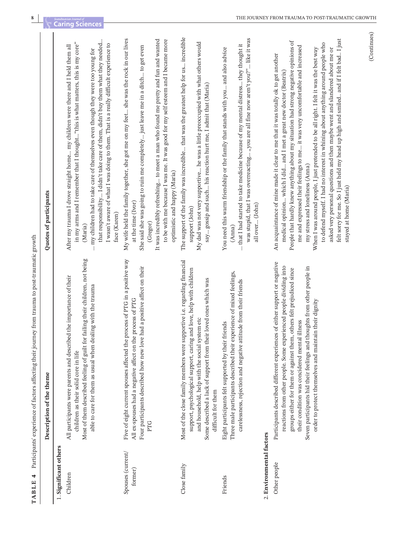| <u>. דחח די</u>              | The definition of the content of the content of the content of the content of the content of the content of the content of the content of the content of the content of the content of the content of the content of the conte                                                                                                                                                                                    |                                                                                                                                                                                                                                                                                                                                                                                                                                                                                                                                                                                                                                                                                                                                                   |
|------------------------------|-------------------------------------------------------------------------------------------------------------------------------------------------------------------------------------------------------------------------------------------------------------------------------------------------------------------------------------------------------------------------------------------------------------------|---------------------------------------------------------------------------------------------------------------------------------------------------------------------------------------------------------------------------------------------------------------------------------------------------------------------------------------------------------------------------------------------------------------------------------------------------------------------------------------------------------------------------------------------------------------------------------------------------------------------------------------------------------------------------------------------------------------------------------------------------|
|                              | Description of the theme                                                                                                                                                                                                                                                                                                                                                                                          | Quotes of participants                                                                                                                                                                                                                                                                                                                                                                                                                                                                                                                                                                                                                                                                                                                            |
| 1. Significant others        |                                                                                                                                                                                                                                                                                                                                                                                                                   |                                                                                                                                                                                                                                                                                                                                                                                                                                                                                                                                                                                                                                                                                                                                                   |
| Children                     | Most of them described feeling of guilt for failing their children, not being<br>All participants were parents and described the importance of their<br>able to care for them as usual when dealing with the trauma<br>children as their solid core in life                                                                                                                                                       | that responsibility I didn't take care of them, didn't buy them what they needed<br>in my arms and I remember that I thought"this is what matters, this is my core"<br>I wasn't aware of what I was doing to them. That is a really difficult experience to<br>After my trauma I drove straight home my children were there and I held them all<br>my children had to take care of themselves even though they were too young for<br>face (Karen)<br>(Maria)                                                                                                                                                                                                                                                                                      |
| Spouses (current/<br>former) | Five of eight current spouses affected the process of PTG in a positive way<br>had a positive affect on their<br>All ex-spouses had a negative affect on the process of PTG<br>Four participants described how new love<br>PTG                                                                                                                                                                                    | My wife held the family together, she got me on my feet she was the rock in our lives<br>It was incredibly refreshing to meet a man who found me pretty and fun and wanted<br>to be with me because I was me. It was good for my self esteem and I became more<br>She said she was going to ruin me completely just leave me in a ditch to get even<br>optimistic and happy (Maria)<br>at the time (Ivor)<br>(Gregor)                                                                                                                                                                                                                                                                                                                             |
| Close family                 | Most of the close family members were supportive i.e. regarding financial<br>support, psychological support, caring and love, help with children<br>Some described a lack of support from their loved ones which was<br>and household, help with the social system etc<br>difficult for them                                                                                                                      | The support of the family was incredible that was the greatest help for us incredible<br>My dad was not very supportive he was a little preoccupied with what others would<br>say gossip and such his reaction hurt me, I admit that (Maria)<br>support (John)                                                                                                                                                                                                                                                                                                                                                                                                                                                                                    |
| Friends                      | Three male participants described their experience of mixed feelings,<br>carelessness, rejection and negative attitude from their friends<br>Eight participants felt supported by their friends                                                                                                                                                                                                                   | was stupid, that I was overreacting "you are all fine now aren't you?" like it was<br>that I had started to take medicine because of my mental distress they thought it<br>You need this warm friendship or the family that stands with you and also advice<br>all over (John)<br>(Anna)                                                                                                                                                                                                                                                                                                                                                                                                                                                          |
| 2. Environmental factors     |                                                                                                                                                                                                                                                                                                                                                                                                                   |                                                                                                                                                                                                                                                                                                                                                                                                                                                                                                                                                                                                                                                                                                                                                   |
| Other people                 | Participants described different experiences of either support or negative<br>reactions from other people. Some experienced people dividing into<br>Seven participants hid their feelings and thoughts from other people in<br>others felt prejudiced since<br>order to protect themselves and maintain their dignity<br>their condition was concidered mental illness<br>groups either for them or against them, | felt sorry for me. So I just held my head up high and smiled and if I felt bad I just<br>People that hardly knew anything about my situation had strong negative opinions of<br>to defend myself. I had no interest in whining about anything around people who<br>me and expressed their feelings to me it was very uncomfortable and increased<br>asked very personal questions and then maybe went and slandered about me or<br>When I was around people, I just pretended to be all right. I felt it was the best way<br>An acquaintance of mine made it clear to me that it was totally ok to get another<br>medical opinion which I did and I met a great new doctor (Beatrix)<br>my stress and loneliness (Anna)<br>stayed at home (Maria) |

**TABLE** 4 Participants' experience of factors affecting their journey from trauma to post-traumatic growth **TABLE 4** Participants' experience of factors affecting their journey from trauma to post-traumatic growth

**8**

(Continues) (Continues)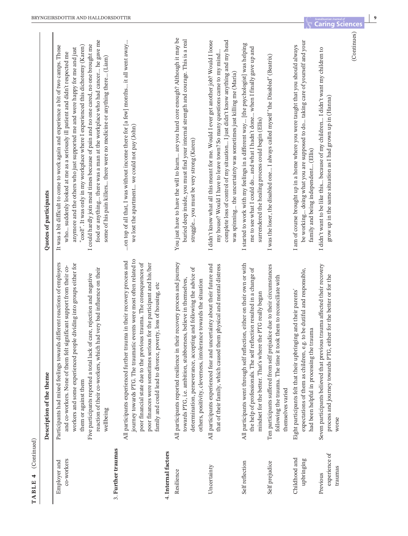| đ      |
|--------|
| í<br>F |
|        |
| ď<br>ŧ |

**9**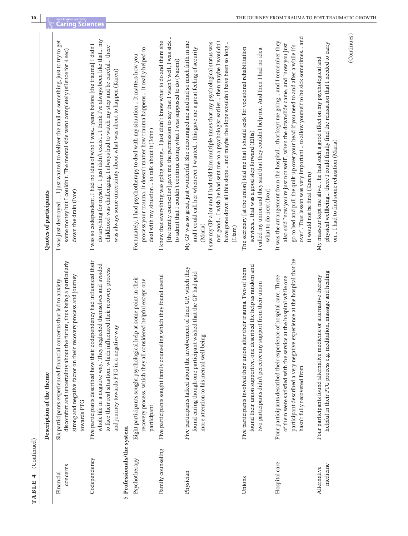| ÷      |
|--------|
| ω<br>Ē |
| ⋍<br>đ |
| H      |

|                             | Description of the theme                                                                                                                                                                                                                                             | Quotes of participants                                                                                                                                                                                                                                                                                                                                                                                                                              |
|-----------------------------|----------------------------------------------------------------------------------------------------------------------------------------------------------------------------------------------------------------------------------------------------------------------|-----------------------------------------------------------------------------------------------------------------------------------------------------------------------------------------------------------------------------------------------------------------------------------------------------------------------------------------------------------------------------------------------------------------------------------------------------|
| concerns<br>Financial       | discomfort and uncertainty about the future, thus being a particularly<br>strong and negative factor on their recovery process and journey<br>erns that led to anxiety,<br>Six participants experienced financial conc<br>towards PTG                                | I was just destroyed.  I just wanted to deliver the mail or something, just to try to get<br>some money but I couldn't. The mental side went completely (silence for 4 sec)<br>down the drain (Ivor)                                                                                                                                                                                                                                                |
| Codependency                | Five participants described how their codependency had influenced their<br>whole life in a negative way. They neglected themselves and avoided<br>to face their real situation, which influenced their recovery process<br>and journey towards PTG in a negative way | do anything for myself I just didn't excist I think I've always been like that my<br>I was so codependent, I had no idea of who I was years before [the trauma] I didn't<br>childhood was challenging, I always had to watch my step and be careful there<br>was always some uncertainty about what was about to happen (Karen)                                                                                                                     |
| 5. Professionals/the system |                                                                                                                                                                                                                                                                      |                                                                                                                                                                                                                                                                                                                                                                                                                                                     |
| Psychotherapy               | Eight participants sought psychological help at some point in their<br>recovery process, which they all considered helpful except one<br>participant                                                                                                                 | process your trauma, it doesn't matter how trauma happens it really helped to<br>Fortunately, I had psychotherapy to deal with my situation It matters how you<br>deal with my situation to talk about it (John)                                                                                                                                                                                                                                    |
| Family counseling           | which they found useful<br>Five participants sought family counseling                                                                                                                                                                                                | [the family counsellor] gave me the permission to say that I wasn't well, I was sick<br>I knew that everything was going wrong I just didn't know what to do and there she<br>to admit that I couldn't continue doing what I was supposed to do (Naomi)                                                                                                                                                                                             |
| Physician                   | Five participants talked about the involvement of their GP, which they<br>found caring though one participant wished that the GP had paid<br>more attention to his mental well-being                                                                                 | not good I wish he had sent me to a psychologist earlier then maybe I wouldn't<br>My GP was so great, just wonderful. She encouraged me and had so much faith in me<br>I saw my GP a lot and I had told him multiple times that my psychological status was<br>have gone down all this slope and maybe the slope wouldn't have been so long<br>and I could call her whenever I wanted this gave me a great feeling of security<br>(Maria)<br>(Liam) |
| Unions                      | found their union supportive, one described the help as random and<br>Five participants involved their union after their trauma. Two of them<br>two participants didn't perceive any support from their union                                                        | The secretary [at the union] told me that I should seek for vocational rehabilitation<br>I called my union and they said that they couldn't help me. And then I had no idea<br>services that was a good step forward (Ellis)<br>what to do next (Ivor)                                                                                                                                                                                              |
| Hospital care               | participant described a very negative experience at the hospital that he<br>Four participants described their experience of hospital care. Three<br>of them were satisfied with the service at the hospital while one<br>hasn't fully recovered from                 | over". That lesson was very important to allow yourself to be sick sometimes and<br>It was the arrangement from the hospital that kept me going and I remember they<br>also said "now you're just not well", when the downslide came, and "now you just<br>go to bed and pull the quilt up over your head if you need to and after a while it's<br>it would not be final (Karen)                                                                    |
| medicine<br>Alternative     | helpful in their PTG process e.g. meditation, massage and healing<br>Four participants found alternative medicine or alternative therapy                                                                                                                             | physical wellbeing there I could finally find the relaxation that I needed to carry<br>My masseur kept me alive he had such a good effect on my psychological and<br>on I had to find some relaxation (Maria)                                                                                                                                                                                                                                       |
|                             |                                                                                                                                                                                                                                                                      | (Continues)                                                                                                                                                                                                                                                                                                                                                                                                                                         |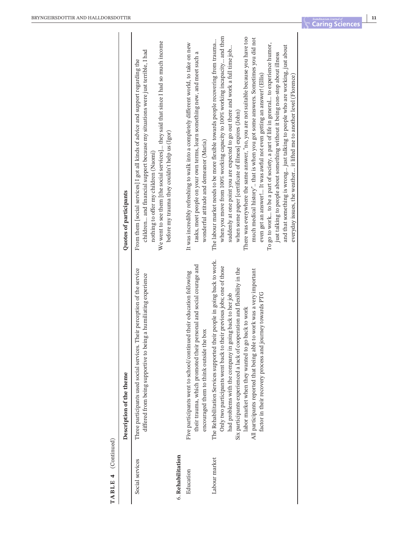|                   | Description of the theme                                                                                                                                                                                                                                                                                                                                                                                                                                                           | Quotes of participants                                                                                                                                                                                                                                                                                                                                                                                                                                                                                                                                                                                                                                                                                                                                                                                                                                                                                  |
|-------------------|------------------------------------------------------------------------------------------------------------------------------------------------------------------------------------------------------------------------------------------------------------------------------------------------------------------------------------------------------------------------------------------------------------------------------------------------------------------------------------|---------------------------------------------------------------------------------------------------------------------------------------------------------------------------------------------------------------------------------------------------------------------------------------------------------------------------------------------------------------------------------------------------------------------------------------------------------------------------------------------------------------------------------------------------------------------------------------------------------------------------------------------------------------------------------------------------------------------------------------------------------------------------------------------------------------------------------------------------------------------------------------------------------|
| Social services   | Three participants used social services. Their perception of the service<br>a humiliating experience<br>differed from being supportive to being                                                                                                                                                                                                                                                                                                                                    | We went to see them [the social services] they said that since I had so much income<br>children and financial support because my situations were just terrible, I had<br>From them [social services] I got all kinds of advice and support regarding the<br>before my trauma they couldn't help us (Igor)<br>nothing to offer my children (Naomi)                                                                                                                                                                                                                                                                                                                                                                                                                                                                                                                                                       |
| 6. Rehabilitation |                                                                                                                                                                                                                                                                                                                                                                                                                                                                                    |                                                                                                                                                                                                                                                                                                                                                                                                                                                                                                                                                                                                                                                                                                                                                                                                                                                                                                         |
| Education         | their trauma, which promoted their personal and social courage and<br>Five participants went to school/continued their education following<br>encouraged them to think outside the box                                                                                                                                                                                                                                                                                             | It was incredibly refreshing to walk into a completely different world, to take on new<br>tasks, meet people on your own terms, learn something new, and meet such a<br>wonderful attitude and demeanor (Maria)                                                                                                                                                                                                                                                                                                                                                                                                                                                                                                                                                                                                                                                                                         |
| Labour market     | The Rehabilitation Services supported their people in going back to work.<br>Only two participants went back to their previous jobs; one of those<br>Six participants experienced a lack of cooperation and flexibility in the<br>All participants reported that being able to work was a very important<br>factor in their recovery process and journey towards PTG<br>had problems with the company in going back to her job<br>labor market when they wanted to go back to work | when you move from 100% working capacity to 100% working incapacity and then<br>There was everywhere the same answer, "no, you are not suitable because you have too<br>much medical history" that is when you got some answers. Sometimes you did not<br>The labour market needs to be more flexible towards people recovering from trauma<br>To go to work to be a part of society, a part of life in general to experience humor,<br>and that something is wrong just talking to people who are working, just about<br>suddenly at one point you are expected to go out there and work a full time job<br>just talking to people about something without it being non-stop about illness<br>everyday issues, the weather it lifted me to another level (Florence)<br>even get an answer! It was awful not even getting an answer! (Ellis)<br>when some paper [certificate of illness] expires (John) |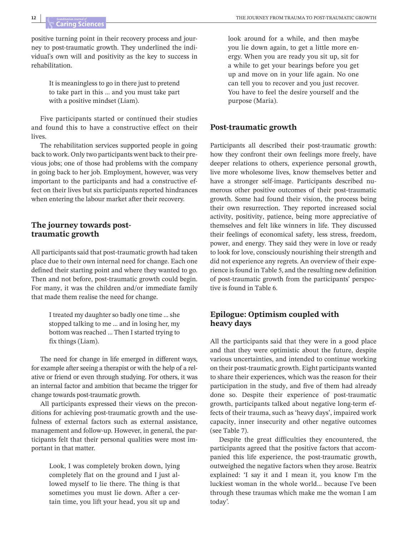positive turning point in their recovery process and journey to post-traumatic growth. They underlined the individual's own will and positivity as the key to success in rehabilitation.

> It is meaningless to go in there just to pretend to take part in this … and you must take part with a positive mindset (Liam).

Five participants started or continued their studies and found this to have a constructive effect on their lives.

The rehabilitation services supported people in going back to work. Only two participants went back to their previous jobs; one of those had problems with the company in going back to her job. Employment, however, was very important to the participants and had a constructive effect on their lives but six participants reported hindrances when entering the labour market after their recovery.

#### **The journey towards posttraumatic growth**

All participants said that post-traumatic growth had taken place due to their own internal need for change. Each one defined their starting point and where they wanted to go. Then and not before, post-traumatic growth could begin. For many, it was the children and/or immediate family that made them realise the need for change.

> I treated my daughter so badly one time … she stopped talking to me … and in losing her, my bottom was reached … Then I started trying to fix things (Liam).

The need for change in life emerged in different ways, for example after seeing a therapist or with the help of a relative or friend or even through studying. For others, it was an internal factor and ambition that became the trigger for change towards post-traumatic growth.

All participants expressed their views on the preconditions for achieving post-traumatic growth and the usefulness of external factors such as external assistance, management and follow-up. However, in general, the participants felt that their personal qualities were most important in that matter.

> Look, I was completely broken down, lying completely flat on the ground and I just allowed myself to lie there. The thing is that sometimes you must lie down. After a certain time, you lift your head, you sit up and

look around for a while, and then maybe you lie down again, to get a little more energy. When you are ready you sit up, sit for a while to get your bearings before you get up and move on in your life again. No one can tell you to recover and you just recover. You have to feel the desire yourself and the purpose (Maria).

#### **Post-traumatic growth**

Participants all described their post-traumatic growth: how they confront their own feelings more freely, have deeper relations to others, experience personal growth, live more wholesome lives, know themselves better and have a stronger self-image. Participants described numerous other positive outcomes of their post-traumatic growth. Some had found their vision, the process being their own resurrection. They reported increased social activity, positivity, patience, being more appreciative of themselves and felt like winners in life. They discussed their feelings of economical safety, less stress, freedom, power, and energy. They said they were in love or ready to look for love, consciously nourishing their strength and did not experience any regrets. An overview of their experience isfound in Table 5, and the resulting new definition of post-traumatic growth from the participants' perspective is found in Table 6.

## **Epilogue: Optimism coupled with heavy days**

All the participants said that they were in a good place and that they were optimistic about the future, despite various uncertainties, and intended to continue working on their post-traumatic growth. Eight participants wanted to share their experiences, which was the reason for their participation in the study, and five of them had already done so. Despite their experience of post-traumatic growth, participants talked about negative long-term effects of their trauma, such as 'heavy days', impaired work capacity, inner insecurity and other negative outcomes (see Table 7).

Despite the great difficulties they encountered, the participants agreed that the positive factors that accompanied this life experience, the post-traumatic growth, outweighed the negative factors when they arose. Beatrix explained: 'I say it and I mean it, you know I'm the luckiest woman in the whole world… because I've been through these traumas which make me the woman I am today'.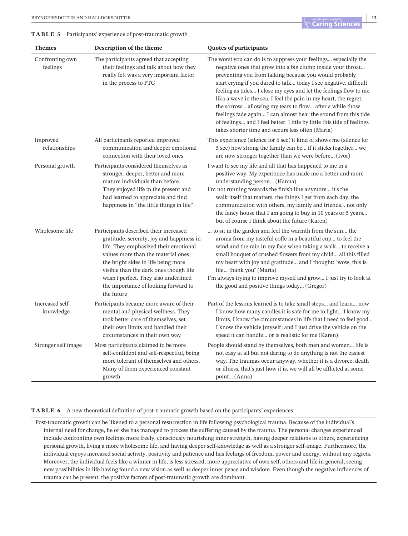**TABLE 5** Participants' experience of post-traumatic growth

| <b>Themes</b>               | Description of the theme                                                                                                                                                                                                                                                                                                                           | Quotes of participants                                                                                                                                                                                                                                                                                                                                                                                                                                                                                                                                                                                                                                            |
|-----------------------------|----------------------------------------------------------------------------------------------------------------------------------------------------------------------------------------------------------------------------------------------------------------------------------------------------------------------------------------------------|-------------------------------------------------------------------------------------------------------------------------------------------------------------------------------------------------------------------------------------------------------------------------------------------------------------------------------------------------------------------------------------------------------------------------------------------------------------------------------------------------------------------------------------------------------------------------------------------------------------------------------------------------------------------|
| Confronting own<br>feelings | The participants agreed that accepting<br>their feelings and talk about how they<br>really felt was a very important factor<br>in the process to PTG                                                                                                                                                                                               | The worst you can do is to suppress your feelings especially the<br>negative ones that grow into a big clump inside your throat<br>preventing you from talking because you would probably<br>start crying if you dared to talk today I see negative, difficult<br>feeling as tides I close my eyes and let the feelings flow to me<br>lika a wave in the sea, I feel the pain in my heart, the regret,<br>the sorrow allowing my tears to flow after a while those<br>feelings fade again I can almost hear the sound from this tide<br>of feelings and I feel better. Little by little this tide of feelings<br>takes shorter time and occurs less often (Maria) |
| Improved<br>relationships   | All participants reported improved<br>communication and deeper emotional<br>connection with their loved ones                                                                                                                                                                                                                                       | This experience (silence for 6 sec) it kind of shows me (silence for<br>5 sec) how strong the family can be if it sticks together we<br>are now stronger together than we were before (Ivor)                                                                                                                                                                                                                                                                                                                                                                                                                                                                      |
| Personal growth             | Participants considered themselves as<br>stronger, deeper, better and more<br>mature individuals than before.<br>They enjoyed life in the present and<br>had learned to appreciate and find<br>happiness in "the little things in life".                                                                                                           | I want to see my life and all that has happened to me in a<br>positive way. My experience has made me a better and more<br>understanding person (Hanna)<br>I'm not running towards the finish line anymore it's the<br>walk itself that matters, the things I get from each day, the<br>communication with others, my family and friends not only<br>the fancy house that I am going to buy in 10 years or 5 years<br>but of course I think about the future (Karen)                                                                                                                                                                                              |
| Wholesome life              | Participants described their increased<br>gratitude, serenity, joy and happiness in<br>life. They emphasized their emotional<br>values more than the material ones,<br>the bright sides in life being more<br>visible than the dark ones though life<br>wasn't perfect. They also underlined<br>the importance of looking forward to<br>the future | to sit in the garden and feel the warmth from the sun the<br>aroma from my tasteful coffe in a beautiful cup to feel the<br>wind and the rain in my face when taking a walk to receive a<br>small bouquet of crushed flowers from my child all this filled<br>my heart with joy and gratitude and I thought: "wow, this is<br>life thank you" (Maria)<br>I'm always trying to improve myself and grow I just try to look at<br>the good and positive things today (Gregor)                                                                                                                                                                                        |
| Increased self<br>knowledge | Participants became more aware of their<br>mental and physical wellness. They<br>took better care of themselves, set<br>their own limits and handled their<br>circumstances in their own way                                                                                                                                                       | Part of the lessons learned is to take small steps and learn now<br>I know how many candles it is safe for me to light I know my<br>limits, I know the circumstances in life that I need to feel good<br>I know the vehicle [myself] and I just drive the vehicle on the<br>speed it can handle or is realistic for me (Karen)                                                                                                                                                                                                                                                                                                                                    |
| Stronger self image         | Most participants claimed to be more<br>self-confident and self-respectful, being<br>more tolerant of themselves and others.<br>Many of them experienced constant<br>growth                                                                                                                                                                        | People should stand by themselves, both men and women life is<br>not easy at all but not daring to do anything is not the easiest<br>way. The traumas occur anyway, whether it is a divorce, death<br>or illness, that's just how it is, we will all be afflicted at some<br>point (Anna)                                                                                                                                                                                                                                                                                                                                                                         |

#### **TABLE 6** A new theoretical definition of post-traumatic growth based on the participants' experiences

Post-traumatic growth can be likened to a personal resurrection in life following psychological trauma. Because of the individual's internal need for change, he or she has managed to process the suffering caused by the trauma. The personal changes experienced include confronting own feelings more freely, consciously nourishing inner strength, having deeper relations to others, experiencing personal growth, living a more wholesome life, and having deeper self-knowledge as well as a stronger self-image. Furthermore, the individual enjoys increased social activity, positivity and patience and has feelings of freedom, power and energy, without any regrets. Moreover, the individual feels like a winner in life, is less stressed, more appreciative of own self, others and life in general, seeing new possibilities in life having found a new vision as well as deeper inner peace and wisdom. Even though the negative influences of trauma can be present, the positive factors of post-traumatic growth are dominant.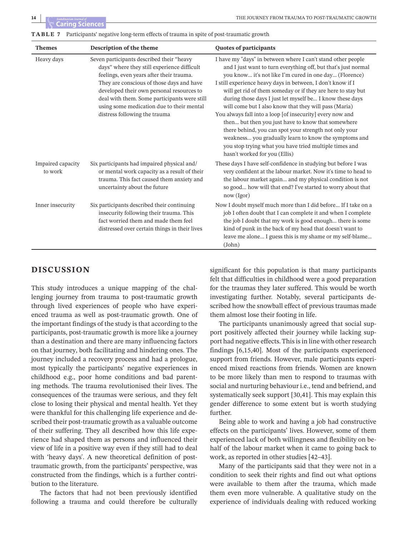| <b>Themes</b>                | Description of the theme                                                                                                                                                                                                                                                                                                                                     | <b>Quotes of participants</b>                                                                                                                                                                                                                                                                                                                                                                                                                                                                                                                                                                                                                                                                                                                                                 |
|------------------------------|--------------------------------------------------------------------------------------------------------------------------------------------------------------------------------------------------------------------------------------------------------------------------------------------------------------------------------------------------------------|-------------------------------------------------------------------------------------------------------------------------------------------------------------------------------------------------------------------------------------------------------------------------------------------------------------------------------------------------------------------------------------------------------------------------------------------------------------------------------------------------------------------------------------------------------------------------------------------------------------------------------------------------------------------------------------------------------------------------------------------------------------------------------|
| Heavy days                   | Seven participants described their "heavy<br>days" where they still experience difficult<br>feelings, even years after their trauma.<br>They are conscious of those days and have<br>developed their own personal resources to<br>deal with them. Some participants were still<br>using some medication due to their mental<br>distress following the trauma | I have my "days" in between where I can't stand other people<br>and I just want to turn everything off, but that's just normal<br>you know it's not like I'm cured in one day (Florence)<br>I still experience heavy days in between, I don't know if I<br>will get rid of them someday or if they are here to stay but<br>during those days I just let myself be I know these days<br>will come but I also know that they will pass (Maria)<br>You always fall into a loop [of insecurity] every now and<br>then but then you just have to know that somewhere<br>there behind, you can spot your strength not only your<br>weakness you gradually learn to know the symptoms and<br>you stop trying what you have tried multiple times and<br>hasn't worked for you (Ellis) |
| Impaired capacity<br>to work | Six participants had impaired physical and/<br>or mental work capacity as a result of their<br>trauma. This fact caused them anxiety and<br>uncertainty about the future                                                                                                                                                                                     | These days I have self-confidence in studying but before I was<br>very confident at the labour market. Now it's time to head to<br>the labour market again and my physical condition is not<br>so good how will that end? I've started to worry about that<br>now (Igor)                                                                                                                                                                                                                                                                                                                                                                                                                                                                                                      |
| Inner insecurity             | Six participants described their continuing<br>insecurity following their trauma. This<br>fact worried them and made them feel<br>distressed over certain things in their lives                                                                                                                                                                              | Now I doubt myself much more than I did before If I take on a<br>job I often doubt that I can complete it and when I complete<br>the job I doubt that my work is good enough there is some<br>kind of punk in the back of my head that doesn't want to<br>leave me alone I guess this is my shame or my self-blame<br>(John)                                                                                                                                                                                                                                                                                                                                                                                                                                                  |

## **DISCUSSION**

This study introduces a unique mapping of the challenging journey from trauma to post-traumatic growth through lived experiences of people who have experienced trauma as well as post-traumatic growth. One of the important findings of the study is that according to the participants, post-traumatic growth is more like a journey than a destination and there are many influencing factors on that journey, both facilitating and hindering ones. The journey included a recovery process and had a prologue, most typically the participants' negative experiences in childhood e.g., poor home conditions and bad parenting methods. The trauma revolutionised their lives. The consequences of the traumas were serious, and they felt close to losing their physical and mental health. Yet they were thankful for this challenging life experience and described their post-traumatic growth as a valuable outcome of their suffering. They all described how this life experience had shaped them as persons and influenced their view of life in a positive way even if they still had to deal with 'heavy days'. A new theoretical definition of posttraumatic growth, from the participants' perspective, was constructed from the findings, which is a further contribution to the literature.

The factors that had not been previously identified following a trauma and could therefore be culturally significant for this population is that many participants felt that difficulties in childhood were a good preparation for the traumas they later suffered. This would be worth investigating further. Notably, several participants described how the snowball effect of previous traumas made them almost lose their footing in life.

The participants unanimously agreed that social support positively affected their journey while lacking support had negative effects. This is in line with other research findings [6,15,40]. Most of the participants experienced support from friends. However, male participants experienced mixed reactions from friends. Women are known to be more likely than men to respond to traumas with social and nurturing behaviour i.e., tend and befriend, and systematically seek support [30,41]. This may explain this gender difference to some extent but is worth studying further.

Being able to work and having a job had constructive effects on the participants' lives. However, some of them experienced lack of both willingness and flexibility on behalf of the labour market when it came to going back to work, as reported in other studies [42–43].

Many of the participants said that they were not in a condition to seek their rights and find out what options were available to them after the trauma, which made them even more vulnerable. A qualitative study on the experience of individuals dealing with reduced working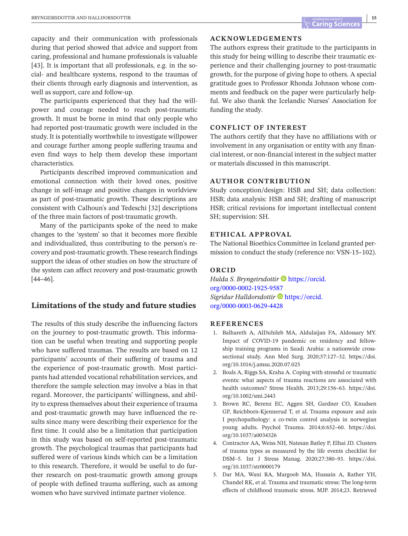capacity and their communication with professionals during that period showed that advice and support from caring, professional and humane professionals is valuable [43]. It is important that all professionals, e.g. in the social- and healthcare systems, respond to the traumas of their clients through early diagnosis and intervention, as well as support, care and follow-up.

The participants experienced that they had the willpower and courage needed to reach post-traumatic growth. It must be borne in mind that only people who had reported post-traumatic growth were included in the study. It is potentially worthwhile to investigate willpower and courage further among people suffering trauma and even find ways to help them develop these important characteristics.

Participants described improved communication and emotional connection with their loved ones, positive change in self-image and positive changes in worldview as part of post-traumatic growth. These descriptions are consistent with Calhoun's and Tedeschi [32] descriptions of the three main factors of post-traumatic growth.

Many of the participants spoke of the need to make changes to the 'system' so that it becomes more flexible and individualized, thus contributing to the person's recovery and post-traumatic growth.These research findings support the ideas of other studies on how the structure of the system can affect recovery and post-traumatic growth [44–46].

## **Limitations of the study and future studies**

The results of this study describe the influencing factors on the journey to post-traumatic growth. This information can be useful when treating and supporting people who have suffered traumas. The results are based on 12 participants' accounts of their suffering of trauma and the experience of post-traumatic growth. Most participants had attended vocational rehabilitation services, and therefore the sample selection may involve a bias in that regard. Moreover, the participants' willingness, and ability to express themselves about their experience of trauma and post-traumatic growth may have influenced the results since many were describing their experience for the first time. It could also be a limitation that participation in this study was based on self-reported post-traumatic growth. The psychological traumas that participants had suffered were of various kinds which can be a limitation to this research. Therefore, it would be useful to do further research on post-traumatic growth among groups of people with defined trauma suffering, such as among women who have survived intimate partner violence.

#### **ACKNOWLEDGEMENTS**

The authors express their gratitude to the participants in this study for being willing to describe their traumatic experience and their challenging journey to post-traumatic growth, for the purpose of giving hope to others. A special gratitude goes to Professor Rhonda Johnson whose comments and feedback on the paper were particularly helpful. We also thank the Icelandic Nurses' Association for funding the study.

#### **CONFLICT OF INTEREST**

The authors certify that they have no affiliations with or involvement in any organisation or entity with any financial interest, or non-financial interest in the subject matter or materials discussed in this manuscript.

#### **AUTHOR CONTRIBUTION**

Study conception/design: HSB and SH; data collection: HSB; data analysis: HSB and SH; drafting of manuscript HSB; critical revisions for important intellectual content SH; supervision: SH.

#### **ETHICAL APPROVAL**

The National Bioethics Committee in Iceland granted permission to conduct the study (reference no: VSN-15–102).

#### **ORCID**

*Hulda S. Bryngeirsdottir* **D** [https://orcid.](https://orcid.org/0000-0002-1925-9587) [org/0000-0002-1925-9587](https://orcid.org/0000-0002-1925-9587) *Sigridur Halldorsdottir* **D** [https://orcid.](https://orcid.org/0000-0003-0629-4428) [org/0000-0003-0629-4428](https://orcid.org/0000-0003-0629-4428)

#### **REFERENCES**

- 1. Balhareth A, AlDuhileb MA, Aldulaijan FA, Aldossary MY. Impact of COVID-19 pandemic on residency and fellowship training programs in Saudi Arabia: a nationwide crosssectional study. Ann Med Surg. 2020;57:127–32. [https://doi.](https://doi.org/10.1016/j.amsu.2020.07.025) [org/10.1016/j.amsu.2020.07.025](https://doi.org/10.1016/j.amsu.2020.07.025)
- 2. Boals A, Riggs SA, Kraha A. Coping with stressful or traumatic events: what aspects of trauma reactions are associated with health outcomes? Stress Health. 2013;29:156–63. [https://doi.](https://doi.org/10.1002/smi.2443) [org/10.1002/smi.2443](https://doi.org/10.1002/smi.2443)
- 3. Brown RC, Berenz EC, Aggen SH, Gardner CO, Knudsen GP, Reichborn-Kjennerud T, et al. Trauma exposure and axis I psychopathology: a co-twin control analysis in norwegian young adults. Psychol Trauma. 2014;6:652–60. [https://doi.](https://doi.org/10.1037/a0034326) [org/10.1037/a0034326](https://doi.org/10.1037/a0034326)
- 4. Contractor AA, Weiss NH, Natesan Batley P, Elhai JD. Clusters of trauma types as measured by the life events checklist for DSM–5. Int J Stress Manag. 2020;27:380–93. [https://doi.](https://doi.org/10.1037/str0000179) [org/10.1037/str0000179](https://doi.org/10.1037/str0000179)
- 5. Dar MA, Wani RA, Margoob MA, Hussain A, Rather YH, Chandel RK, et al. Trauma and traumatic stress: The long-term effects of childhood traumatic stress. MJP. 2014;23. Retrieved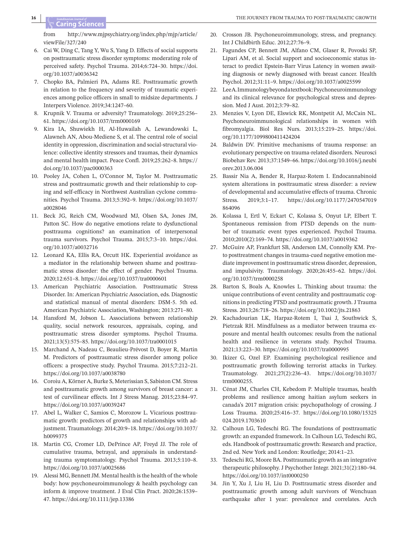from [http://www.mjpsychiatry.org/index.php/mjp/article/](http://www.mjpsychiatry.org/index.php/mjp/article/viewFile/327/240) [viewFile/327/240](http://www.mjpsychiatry.org/index.php/mjp/article/viewFile/327/240)

- 6. Cai W, Ding C, Tang Y, Wu S, Yang D. Effects of social supports on posttraumatic stress disorder symptoms: moderating role of perceived safety. Psychol Trauma. 2014;6:724–30. [https://doi.](https://doi.org/10.1037/a0036342) [org/10.1037/a0036342](https://doi.org/10.1037/a0036342)
- 7. Chopko BA, Palmieri PA, Adams RE. Posttraumatic growth in relation to the frequency and severity of traumatic experiences among police officers in small to midsize departments. J Interpers Violence. 2019;34:1247–60.
- 8. Krupnik V. Trauma or adversity? Traumatology. 2019;25:256-61. <https://doi.org/10.1037/trm0000169>
- 9. Kira IA, Shuwiekh H, Al-Huwailah A, Lewandowski L, Alawneh AN, Abou-Mediene S, et al. The central role of social identity in oppression, discrimination and social-structural violence: collective identity stressors and traumas, their dynamics and mental health impact. Peace Confl. 2019;25:262–8. [https://](https://doi.org/10.1037/pac0000363) [doi.org/10.1037/pac0000363](https://doi.org/10.1037/pac0000363)
- 10. Pooley JA, Cohen L, O'Connor M, Taylor M. Posttraumatic stress and posttraumatic growth and their relationship to coping and self-efficacy in Northwest Australian cyclone communities. Psychol Trauma. 2013;5:392–9. [https://doi.org/10.1037/](https://doi.org/10.1037/a0028046) [a0028046](https://doi.org/10.1037/a0028046)
- 11. Beck JG, Reich CM, Woodward MJ, Olsen SA, Jones JM, Patton SC. How do negative emotions relate to dysfunctional posttrauma cognitions? an examination of interpersonal trauma survivors. Psychol Trauma. 2015;7:3–10. [https://doi.](https://doi.org/10.1037/a0032716) [org/10.1037/a0032716](https://doi.org/10.1037/a0032716)
- 12. Leonard KA, Ellis RA, Orcutt HK. Experiential avoidance as a mediator in the relationship between shame and posttraumatic stress disorder: the effect of gender. Psychol Trauma. 2020;12:651–8. <https://doi.org/10.1037/tra0000601>
- 13. American Psychiatric Association. Posttraumatic Stress Disorder. In: American Psychiatric Association, eds. Diagnostic and statistical manual of mental disorders: DSM-5. 5th ed. American Psychiatric Association, Washington; 2013:271–80.
- 14. Hansford M, Jobson L. Associations between relationship quality, social network resources, appraisals, coping, and posttraumatic stress disorder symptoms. Psychol Trauma. 2021;13(5):575–85. <https://doi.org/10.1037/tra0001015>
- 15. Marchand A, Nadeau C, Beaulieu-Prévost D, Boyer R, Martin M. Predictors of posttraumatic stress disorder among police officers: a prospective study. Psychol Trauma. 2015;7:212–21. <https://doi.org/10.1037/a0038780>
- 16. Coroiu A, Körner A, Burke S, Meterissian S, Sabiston CM. Stress and posttraumatic growth among survivors of breast cancer: a test of curvilinear effects. Int J Stress Manag. 2015;23:84–97. <https://doi.org/10.1037/a0039247>
- 17. Abel L, Walker C, Samios C, Morozow L. Vicarious posttraumatic growth: predictors of growth and relationships with adjustment. Traumatology. 2014;20:9–18. [https://doi.org/10.1037/](https://doi.org/10.1037/h0099375) [h0099375](https://doi.org/10.1037/h0099375)
- 18. Martin CG, Cromer LD, DePrince AP, Freyd JJ. The role of cumulative trauma, betrayal, and appraisals in understanding trauma symptomatology. Psychol Trauma. 2013;5:110–8. <https://doi.org/10.1037/a0025686>
- 19. Alessi MG, BennettJM. Mental health isthe health of the whole body: how psychoneuroimmunology & health psychology can inform & improve treatment. J Eval Clin Pract. 2020;26:1539– 47. <https://doi.org/10.1111/jep.13386>
- 20. Crosson JB. Psychoneuroimmunology, stress, and pregnancy. Int J Childbirth Educ. 2012;27:76–9.
- 21. Fagundes CP, Bennett JM, Alfano CM, Glaser R, Povoski SP, Lipari AM, et al. Social support and socioeconomic status interact to predict Epstein-Barr Virus Latency in women awaiting diagnosis or newly diagnosed with breast cancer. Health Psychol. 2012;31:11–9. <https://doi.org/10.1037/a0025599>
- 22. LeeA.Immunologybeyondatextbook:Psychoneuroimmunology and its clinical relevance for psychological stress and depression. Med J Aust. 2012;3:79–82.
- 23. Menzies V, Lyon DE, Elswick RK, Montpetit AJ, McCain NL. Psychoneuroimmunological relationships in women with fibromyalgia. Biol Res Nurs. 2013;15:219–25. [https://doi.](https://doi.org/10.1177/1099800411424204) [org/10.1177/1099800411424204](https://doi.org/10.1177/1099800411424204)
- 24. Baldwin DV. Primitive mechanisms of trauma response: an evolutionary perspective on trauma-related disorders. Neurosci Biobehav Rev. 2013;37:1549–66. [https://doi.org/10.1016/j.neubi](https://doi.org/10.1016/j.neubiorev.2013.06.004) [orev.2013.06.004](https://doi.org/10.1016/j.neubiorev.2013.06.004)
- 25. Bassir Nia A, Bender R, Harpaz-Rotem I. Endocannabinoid system alterations in posttraumatic stress disorder: a review of developmental and accumulative effects of trauma. Chronic Stress. 2019;3:1–17. [https://doi.org/10.1177/2470547019](https://doi.org/10.1177/2470547019864096) [864096](https://doi.org/10.1177/2470547019864096)
- 26. Kolassa I, Ertl V, Eckart C, Kolassa S, Onyut LP, Elbert T. Spontaneous remission from PTSD depends on the number of traumatic event types experienced. Psychol Trauma. 2010;2010(2):169–74. <https://doi.org/10.1037/a0019362>
- 27. McGuire AP, Frankfurt SB, Anderson LM, Connolly KM. Preto posttreatment changes in trauma-cued negative emotion mediate improvement in posttraumatic stress disorder, depression, and impulsivity. Traumatology. 2020;26:455–62. [https://doi.](https://doi.org/10.1037/trm0000258) [org/10.1037/trm0000258](https://doi.org/10.1037/trm0000258)
- 28. Barton S, Boals A, Knowles L. Thinking about trauma: the unique contributions of event centrality and posttraumatic cognitionsin predicting PTSD and posttraumatic growth.J Trauma Stress. 2013;26:718–26. <https://doi.org/10.1002/jts.21863>
- 29. Kachadourian LK, Harpaz-Rotem I, Tsai J, Southwick S, Pietrzak RH. Mindfulness as a mediator between trauma exposure and mental health outcomes: results from the national health and resilience in veterans study. Psychol Trauma. 2021;13:223–30. <https://doi.org/10.1037/tra0000995>
- 30. Ikizer G, Ozel EP. Examining psychological resilience and posttraumatic growth following terrorist attacks in Turkey. Traumatology. 2021;27(2):236–43. [https://doi.org/10.1037/](https://doi.org/10.1037/trm0000255) [trm0000255](https://doi.org/10.1037/trm0000255).
- 31. Cénat JM, Charles CH, Kebedom P. Multiple traumas, health problems and resilience among haitian asylum seekers in canada's 2017 migration crisis: psychopathology of crossing. J Loss Trauma. 2020;25:416–37. [https://doi.org/10.1080/15325](https://doi.org/10.1080/15325024.2019.1703610) [024.2019.1703610](https://doi.org/10.1080/15325024.2019.1703610)
- 32. Calhoun LG, Tedeschi RG. The foundations of posttraumatic growth: an expanded framework. In Calhoun LG, Tedeschi RG, eds. Handbook of posttraumatic growth: Research and practice, 2nd ed. New York and London: Routledge; 2014:1–23.
- 33. Tedeschi RG, Moore BA. Posttraumatic growth as an integrative therapeutic philosophy. J Psychother Integr. 2021;31(2):180–94. <https://doi.org/10.1037/int0000250>
- 34. Jin Y, Xu J, Liu H, Liu D. Posttraumatic stress disorder and posttraumatic growth among adult survivors of Wenchuan earthquake after 1 year: prevalence and correlates. Arch